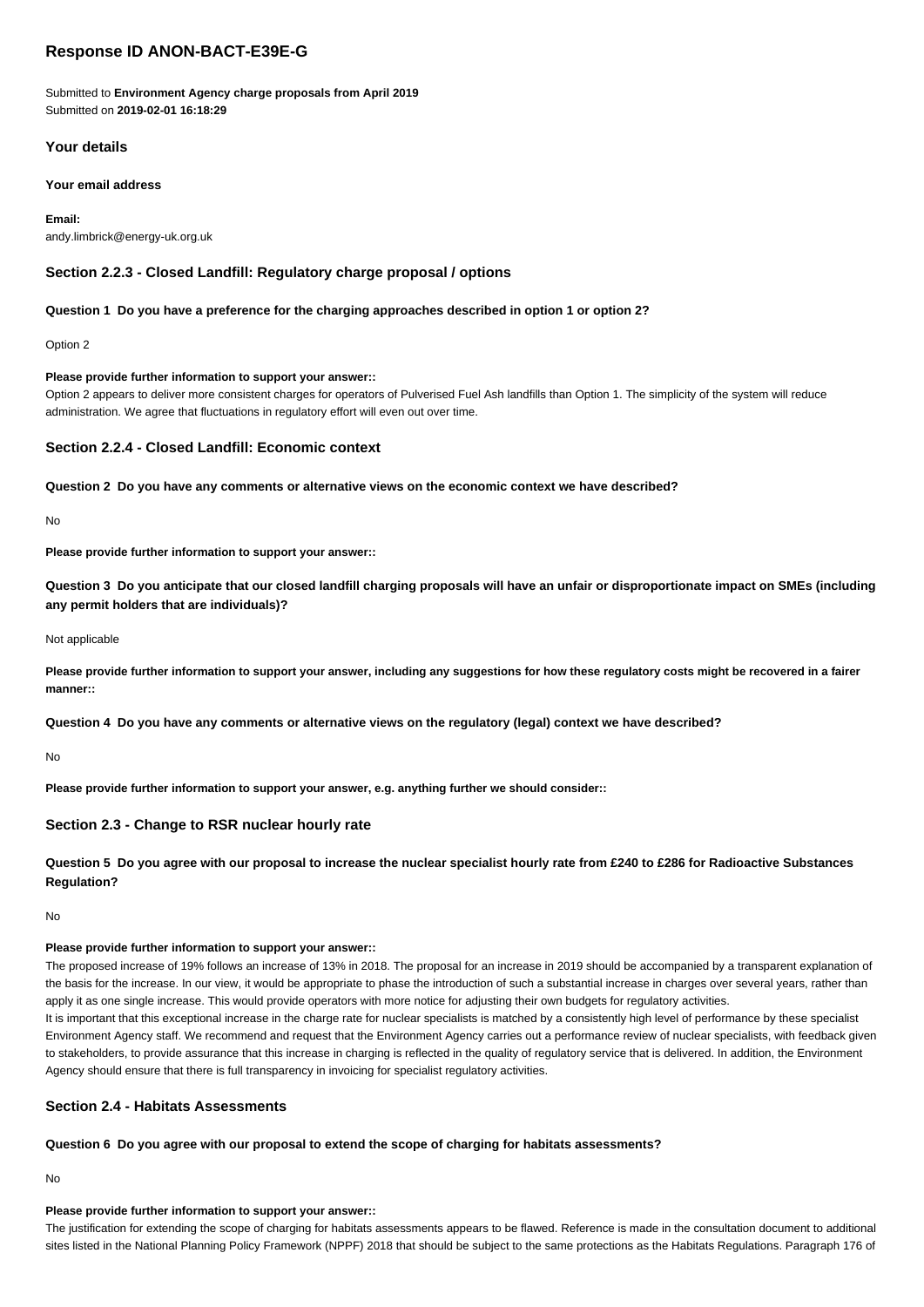# **Response ID ANON-BACT-E39E-G**

Submitted to **Environment Agency charge proposals from April 2019** Submitted on **2019-02-01 16:18:29**

# **Your details**

## **Your email address**

**Email:** andy.limbrick@energy-uk.org.uk

# **Section 2.2.3 - Closed Landfill: Regulatory charge proposal / options**

## **Question 1 Do you have a preference for the charging approaches described in option 1 or option 2?**

Option 2

## **Please provide further information to support your answer::**

Option 2 appears to deliver more consistent charges for operators of Pulverised Fuel Ash landfills than Option 1. The simplicity of the system will reduce administration. We agree that fluctuations in regulatory effort will even out over time.

# **Section 2.2.4 - Closed Landfill: Economic context**

**Question 2 Do you have any comments or alternative views on the economic context we have described?**

No

**Please provide further information to support your answer::**

**Question 3 Do you anticipate that our closed landfill charging proposals will have an unfair or disproportionate impact on SMEs (including any permit holders that are individuals)?**

### Not applicable

**Please provide further information to support your answer, including any suggestions for how these regulatory costs might be recovered in a fairer manner::**

**Question 4 Do you have any comments or alternative views on the regulatory (legal) context we have described?**

No

**Please provide further information to support your answer, e.g. anything further we should consider::**

## **Section 2.3 - Change to RSR nuclear hourly rate**

**Question 5 Do you agree with our proposal to increase the nuclear specialist hourly rate from £240 to £286 for Radioactive Substances Regulation?**

No

## **Please provide further information to support your answer::**

The proposed increase of 19% follows an increase of 13% in 2018. The proposal for an increase in 2019 should be accompanied by a transparent explanation of the basis for the increase. In our view, it would be appropriate to phase the introduction of such a substantial increase in charges over several years, rather than apply it as one single increase. This would provide operators with more notice for adjusting their own budgets for regulatory activities.

It is important that this exceptional increase in the charge rate for nuclear specialists is matched by a consistently high level of performance by these specialist Environment Agency staff. We recommend and request that the Environment Agency carries out a performance review of nuclear specialists, with feedback given to stakeholders, to provide assurance that this increase in charging is reflected in the quality of regulatory service that is delivered. In addition, the Environment Agency should ensure that there is full transparency in invoicing for specialist regulatory activities.

# **Section 2.4 - Habitats Assessments**

**Question 6 Do you agree with our proposal to extend the scope of charging for habitats assessments?**

No

## **Please provide further information to support your answer::**

The justification for extending the scope of charging for habitats assessments appears to be flawed. Reference is made in the consultation document to additional sites listed in the National Planning Policy Framework (NPPF) 2018 that should be subject to the same protections as the Habitats Regulations. Paragraph 176 of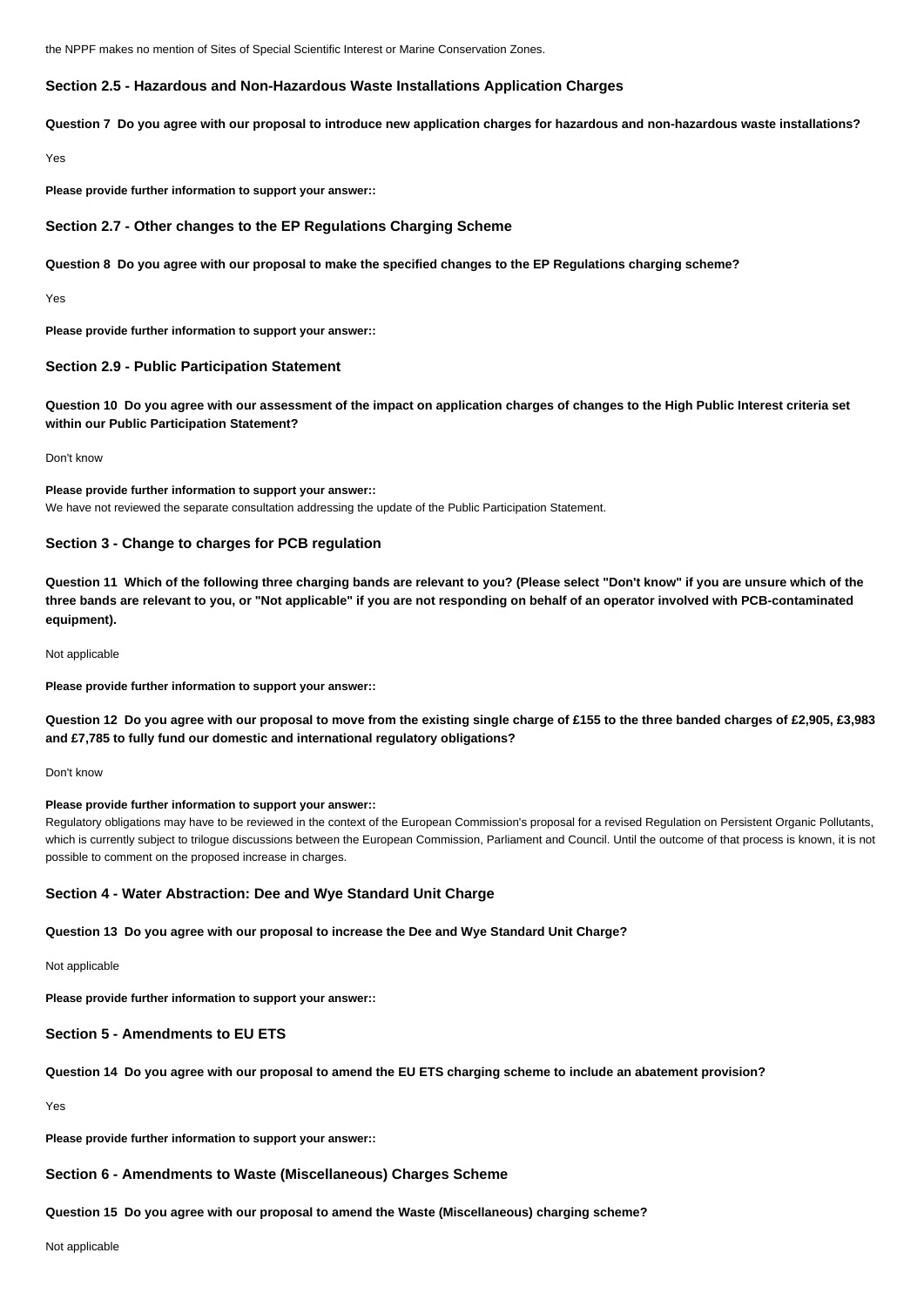the NPPF makes no mention of Sites of Special Scientific Interest or Marine Conservation Zones.

## **Section 2.5 - Hazardous and Non-Hazardous Waste Installations Application Charges**

**Question 7 Do you agree with our proposal to introduce new application charges for hazardous and non-hazardous waste installations?**

Yes

**Please provide further information to support your answer::**

## **Section 2.7 - Other changes to the EP Regulations Charging Scheme**

**Question 8 Do you agree with our proposal to make the specified changes to the EP Regulations charging scheme?**

Yes

**Please provide further information to support your answer::**

## **Section 2.9 - Public Participation Statement**

**Question 10 Do you agree with our assessment of the impact on application charges of changes to the High Public Interest criteria set within our Public Participation Statement?**

Don't know

**Please provide further information to support your answer::** We have not reviewed the separate consultation addressing the update of the Public Participation Statement.

## **Section 3 - Change to charges for PCB regulation**

**Question 11 Which of the following three charging bands are relevant to you? (Please select "Don't know" if you are unsure which of the three bands are relevant to you, or "Not applicable" if you are not responding on behalf of an operator involved with PCB-contaminated equipment).**

Not applicable

**Please provide further information to support your answer::**

**Question 12 Do you agree with our proposal to move from the existing single charge of £155 to the three banded charges of £2,905, £3,983 and £7,785 to fully fund our domestic and international regulatory obligations?**

#### Don't know

## **Please provide further information to support your answer::**

Regulatory obligations may have to be reviewed in the context of the European Commission's proposal for a revised Regulation on Persistent Organic Pollutants, which is currently subject to trilogue discussions between the European Commission, Parliament and Council. Until the outcome of that process is known, it is not possible to comment on the proposed increase in charges.

### **Section 4 - Water Abstraction: Dee and Wye Standard Unit Charge**

**Question 13 Do you agree with our proposal to increase the Dee and Wye Standard Unit Charge?**

Not applicable

**Please provide further information to support your answer::**

## **Section 5 - Amendments to EU ETS**

### **Question 14 Do you agree with our proposal to amend the EU ETS charging scheme to include an abatement provision?**

Yes

**Please provide further information to support your answer::**

### **Section 6 - Amendments to Waste (Miscellaneous) Charges Scheme**

### **Question 15 Do you agree with our proposal to amend the Waste (Miscellaneous) charging scheme?**